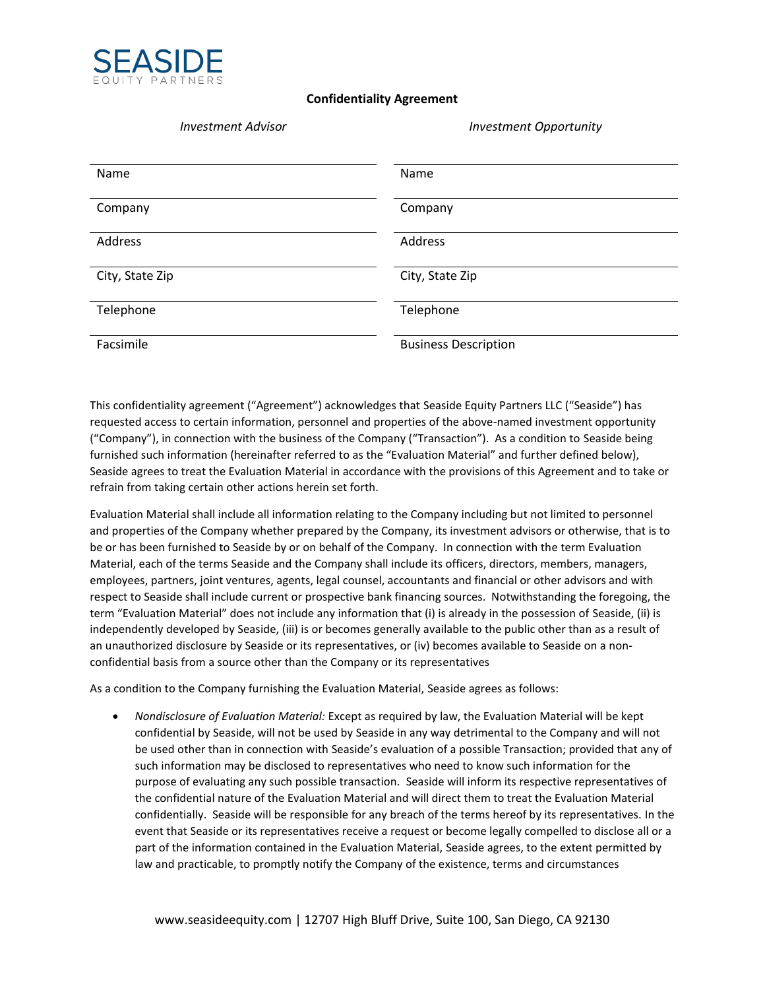

## **Confidentiality Agreement**

| <b>Investment Advisor</b> |  |
|---------------------------|--|
|                           |  |

## *Investment Advisor Investment Opportunity*

| Name            | Name                        |
|-----------------|-----------------------------|
| Company         | Company                     |
| Address         | Address                     |
| City, State Zip | City, State Zip             |
| Telephone       | Telephone                   |
| Facsimile       | <b>Business Description</b> |

This confidentiality agreement ("Agreement") acknowledges that Seaside Equity Partners LLC ("Seaside") has requested access to certain information, personnel and properties of the above-named investment opportunity ("Company"), in connection with the business of the Company ("Transaction"). As a condition to Seaside being furnished such information (hereinafter referred to as the "Evaluation Material" and further defined below), Seaside agrees to treat the Evaluation Material in accordance with the provisions of this Agreement and to take or refrain from taking certain other actions herein set forth.

Evaluation Material shall include all information relating to the Company including but not limited to personnel and properties of the Company whether prepared by the Company, its investment advisors or otherwise, that is to be or has been furnished to Seaside by or on behalf of the Company. In connection with the term Evaluation Material, each of the terms Seaside and the Company shall include its officers, directors, members, managers, employees, partners, joint ventures, agents, legal counsel, accountants and financial or other advisors and with respect to Seaside shall include current or prospective bank financing sources. Notwithstanding the foregoing, the term "Evaluation Material" does not include any information that (i) is already in the possession of Seaside, (ii) is independently developed by Seaside, (iii) is or becomes generally available to the public other than as a result of an unauthorized disclosure by Seaside or its representatives, or (iv) becomes available to Seaside on a nonconfidential basis from a source other than the Company or its representatives

As a condition to the Company furnishing the Evaluation Material, Seaside agrees as follows:

• *Nondisclosure of Evaluation Material:* Except as required by law, the Evaluation Material will be kept confidential by Seaside, will not be used by Seaside in any way detrimental to the Company and will not be used other than in connection with Seaside's evaluation of a possible Transaction; provided that any of such information may be disclosed to representatives who need to know such information for the purpose of evaluating any such possible transaction. Seaside will inform its respective representatives of the confidential nature of the Evaluation Material and will direct them to treat the Evaluation Material confidentially. Seaside will be responsible for any breach of the terms hereof by its representatives. In the event that Seaside or its representatives receive a request or become legally compelled to disclose all or a part of the information contained in the Evaluation Material, Seaside agrees, to the extent permitted by law and practicable, to promptly notify the Company of the existence, terms and circumstances